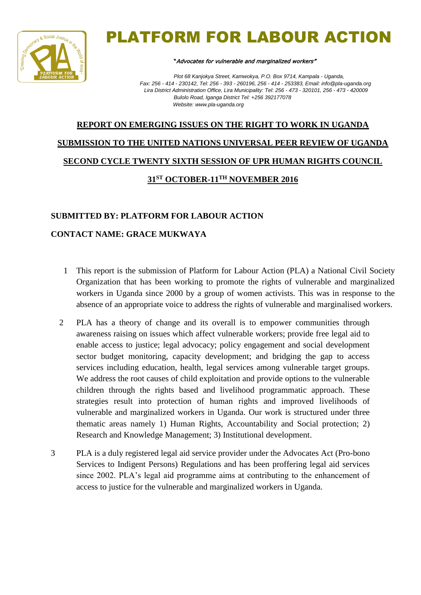

# PLATFORM FOR LABOUR ACTION

#### "Advocates for vulnerable and marginalized workers"

*Plot 68 Kanjokya Street, Kamwokya, P.O. Box 9714, Kampala - Uganda, Fax: 256 - 414 - 230142, Tel: 256 - 393 - 260196, 256 - 414 - 253383, Email: info@pla-uganda.org Lira District Administration Office, Lira Municipality: Tel: 256 - 473 - 320101, 256 - 473 - 420009 Bulolo Road, Iganga District Tel: +256 392177078 Website: www.pla-uganda.org*

## **REPORT ON EMERGING ISSUES ON THE RIGHT TO WORK IN UGANDA SUBMISSION TO THE UNITED NATIONS UNIVERSAL PEER REVIEW OF UGANDA SECOND CYCLE TWENTY SIXTH SESSION OF UPR HUMAN RIGHTS COUNCIL 31ST OCTOBER-11TH NOVEMBER 2016**

#### **SUBMITTED BY: PLATFORM FOR LABOUR ACTION**

#### **CONTACT NAME: GRACE MUKWAYA**

- 1 This report is the submission of Platform for Labour Action (PLA) a National Civil Society Organization that has been working to promote the rights of vulnerable and marginalized workers in Uganda since 2000 by a group of women activists. This was in response to the absence of an appropriate voice to address the rights of vulnerable and marginalised workers.
- 2 PLA has a theory of change and its overall is to empower communities through awareness raising on issues which affect vulnerable workers; provide free legal aid to enable access to justice; legal advocacy; policy engagement and social development sector budget monitoring, capacity development; and bridging the gap to access services including education, health, legal services among vulnerable target groups. We address the root causes of child exploitation and provide options to the vulnerable children through the rights based and livelihood programmatic approach. These strategies result into protection of human rights and improved livelihoods of vulnerable and marginalized workers in Uganda. Our work is structured under three thematic areas namely 1) Human Rights, Accountability and Social protection; 2) Research and Knowledge Management; 3) Institutional development.
- 3 PLA is a duly registered legal aid service provider under the Advocates Act (Pro-bono Services to Indigent Persons) Regulations and has been proffering legal aid services since 2002. PLA's legal aid programme aims at contributing to the enhancement of access to justice for the vulnerable and marginalized workers in Uganda.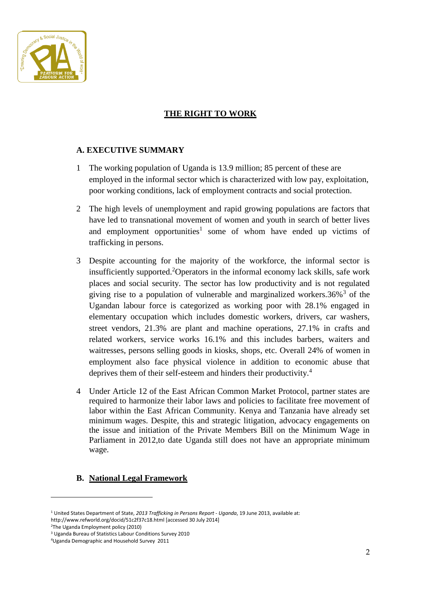

### **THE RIGHT TO WORK**

#### **A. EXECUTIVE SUMMARY**

- 1 The working population of Uganda is 13.9 million; 85 percent of these are employed in the informal sector which is characterized with low pay, exploitation, poor working conditions, lack of employment contracts and social protection.
- 2 The high levels of unemployment and rapid growing populations are factors that have led to transnational movement of women and youth in search of better lives and employment opportunities<sup>1</sup> some of whom have ended up victims of trafficking in persons.
- 3 Despite accounting for the majority of the workforce, the informal sector is insufficiently supported.<sup>2</sup>Operators in the informal economy lack skills, safe work places and social security. The sector has low productivity and is not regulated giving rise to a population of vulnerable and marginalized workers.  $36\%$ <sup>3</sup> of the Ugandan labour force is categorized as working poor with 28.1% engaged in elementary occupation which includes domestic workers, drivers, car washers, street vendors, 21.3% are plant and machine operations, 27.1% in crafts and related workers, service works 16.1% and this includes barbers, waiters and waitresses, persons selling goods in kiosks, shops, etc. Overall 24% of women in employment also face physical violence in addition to economic abuse that deprives them of their self-esteem and hinders their productivity.<sup>4</sup>
- 4 Under Article 12 of the East African Common Market Protocol, partner states are required to harmonize their labor laws and policies to facilitate free movement of labor within the East African Community. Kenya and Tanzania have already set minimum wages. Despite, this and strategic litigation, advocacy engagements on the issue and initiation of the Private Members Bill on the Minimum Wage in Parliament in 2012,to date Uganda still does not have an appropriate minimum wage.

#### **B. National Legal Framework**

<sup>2</sup>The Uganda Employment policy (2010)

**.** 

<sup>1</sup> United States Department of State, *2013 Trafficking in Persons Report - Uganda*, 19 June 2013, available at: http://www.refworld.org/docid/51c2f37c18.html [accessed 30 July 2014]

<sup>3</sup> Uganda Bureau of Statistics Labour Conditions Survey 2010

<sup>4</sup>Uganda Demographic and Household Survey 2011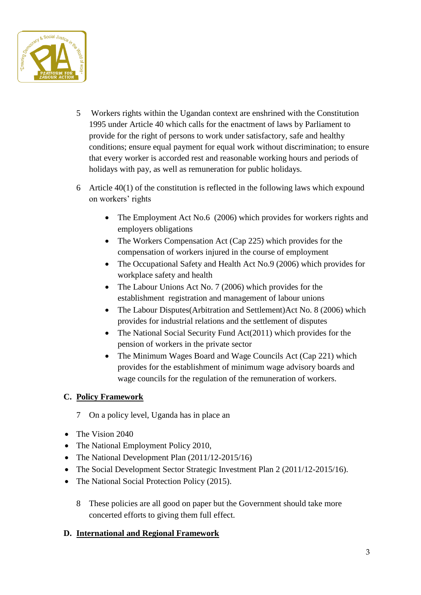

- 5 Workers rights within the Ugandan context are enshrined with the Constitution 1995 under Article 40 which calls for the enactment of laws by Parliament to provide for the right of persons to work under satisfactory, safe and healthy conditions; ensure equal payment for equal work without discrimination; to ensure that every worker is accorded rest and reasonable working hours and periods of holidays with pay, as well as remuneration for public holidays.
- 6 Article 40(1) of the constitution is reflected in the following laws which expound on workers' rights
	- The Employment Act No.6 (2006) which provides for workers rights and employers obligations
	- The Workers Compensation Act (Cap 225) which provides for the compensation of workers injured in the course of employment
	- The Occupational Safety and Health Act No.9 (2006) which provides for workplace safety and health
	- The Labour Unions Act No. 7 (2006) which provides for the establishment registration and management of labour unions
	- The Labour Disputes(Arbitration and Settlement)Act No. 8 (2006) which provides for industrial relations and the settlement of disputes
	- The National Social Security Fund Act(2011) which provides for the pension of workers in the private sector
	- The Minimum Wages Board and Wage Councils Act (Cap 221) which provides for the establishment of minimum wage advisory boards and wage councils for the regulation of the remuneration of workers.

#### **C. Policy Framework**

- 7 On a policy level, Uganda has in place an
- The Vision 2040
- The National Employment Policy 2010,
- The National Development Plan (2011/12-2015/16)
- The Social Development Sector Strategic Investment Plan 2 (2011/12-2015/16).
- The National Social Protection Policy (2015).
	- 8 These policies are all good on paper but the Government should take more concerted efforts to giving them full effect.

#### **D. International and Regional Framework**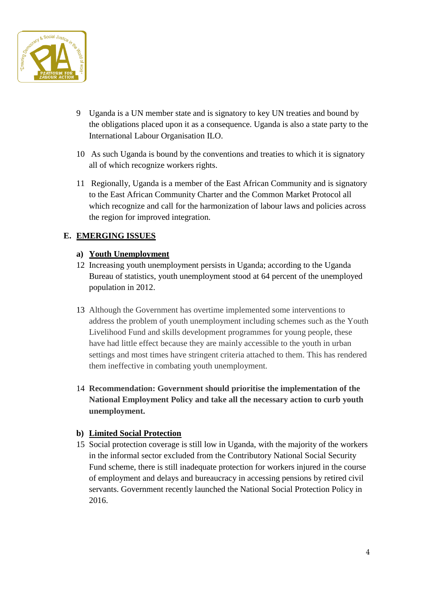

- 9 Uganda is a UN member state and is signatory to key UN treaties and bound by the obligations placed upon it as a consequence. Uganda is also a state party to the International Labour Organisation ILO.
- 10 As such Uganda is bound by the conventions and treaties to which it is signatory all of which recognize workers rights.
- 11 Regionally, Uganda is a member of the East African Community and is signatory to the East African Community Charter and the Common Market Protocol all which recognize and call for the harmonization of labour laws and policies across the region for improved integration.

#### **E. EMERGING ISSUES**

#### **a) Youth Unemployment**

- 12 Increasing youth unemployment persists in Uganda; according to the Uganda Bureau of statistics, youth unemployment stood at 64 percent of the unemployed population in 2012.
- 13 Although the Government has overtime implemented some interventions to address the problem of youth unemployment including schemes such as the Youth Livelihood Fund and skills development programmes for young people, these have had little effect because they are mainly accessible to the youth in urban settings and most times have stringent criteria attached to them. This has rendered them ineffective in combating youth unemployment.
- 14 **Recommendation: Government should prioritise the implementation of the National Employment Policy and take all the necessary action to curb youth unemployment.**

#### **b) Limited Social Protection**

15 Social protection coverage is still low in Uganda, with the majority of the workers in the informal sector excluded from the Contributory National Social Security Fund scheme, there is still inadequate protection for workers injured in the course of employment and delays and bureaucracy in accessing pensions by retired civil servants. Government recently launched the National Social Protection Policy in 2016.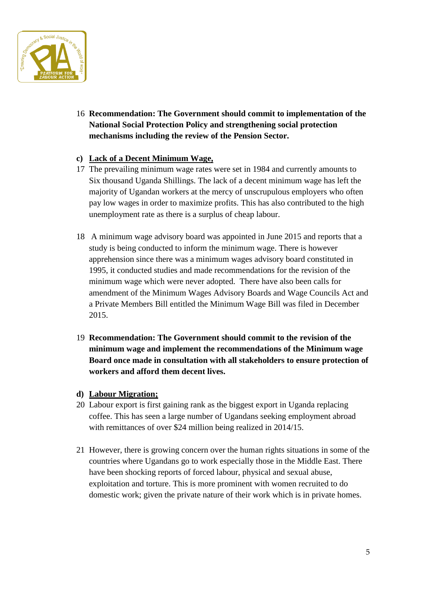

16 **Recommendation: The Government should commit to implementation of the National Social Protection Policy and strengthening social protection mechanisms including the review of the Pension Sector.**

#### **c) Lack of a Decent Minimum Wage,**

- 17 The prevailing minimum wage rates were set in 1984 and currently amounts to Six thousand Uganda Shillings. The lack of a decent minimum wage has left the majority of Ugandan workers at the mercy of unscrupulous employers who often pay low wages in order to maximize profits. This has also contributed to the high unemployment rate as there is a surplus of cheap labour.
- 18 A minimum wage advisory board was appointed in June 2015 and reports that a study is being conducted to inform the minimum wage. There is however apprehension since there was a minimum wages advisory board constituted in 1995, it conducted studies and made recommendations for the revision of the minimum wage which were never adopted. There have also been calls for amendment of the Minimum Wages Advisory Boards and Wage Councils Act and a Private Members Bill entitled the Minimum Wage Bill was filed in December 2015.
- 19 **Recommendation: The Government should commit to the revision of the minimum wage and implement the recommendations of the Minimum wage Board once made in consultation with all stakeholders to ensure protection of workers and afford them decent lives.**
- **d) Labour Migration;**
- 20 Labour export is first gaining rank as the biggest export in Uganda replacing coffee. This has seen a large number of Ugandans seeking employment abroad with remittances of over \$24 million being realized in 2014/15.
- 21 However, there is growing concern over the human rights situations in some of the countries where Ugandans go to work especially those in the Middle East. There have been shocking reports of forced labour, physical and sexual abuse, exploitation and torture. This is more prominent with women recruited to do domestic work; given the private nature of their work which is in private homes.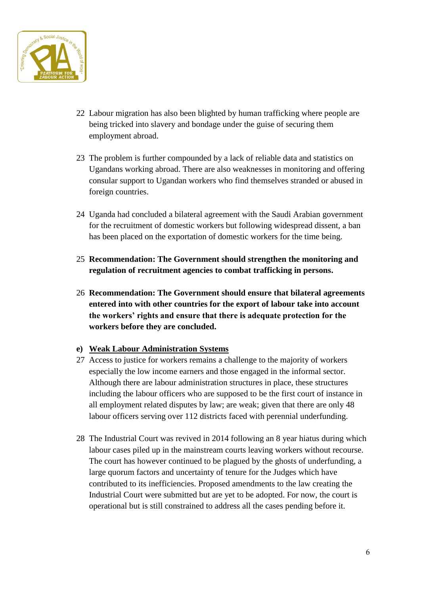

- 22 Labour migration has also been blighted by human trafficking where people are being tricked into slavery and bondage under the guise of securing them employment abroad.
- 23 The problem is further compounded by a lack of reliable data and statistics on Ugandans working abroad. There are also weaknesses in monitoring and offering consular support to Ugandan workers who find themselves stranded or abused in foreign countries.
- 24 Uganda had concluded a bilateral agreement with the Saudi Arabian government for the recruitment of domestic workers but following widespread dissent, a ban has been placed on the exportation of domestic workers for the time being.
- 25 **Recommendation: The Government should strengthen the monitoring and regulation of recruitment agencies to combat trafficking in persons.**
- 26 **Recommendation: The Government should ensure that bilateral agreements entered into with other countries for the export of labour take into account the workers' rights and ensure that there is adequate protection for the workers before they are concluded.**

#### **e) Weak Labour Administration Systems**

- 27 Access to justice for workers remains a challenge to the majority of workers especially the low income earners and those engaged in the informal sector. Although there are labour administration structures in place, these structures including the labour officers who are supposed to be the first court of instance in all employment related disputes by law; are weak; given that there are only 48 labour officers serving over 112 districts faced with perennial underfunding.
- 28 The Industrial Court was revived in 2014 following an 8 year hiatus during which labour cases piled up in the mainstream courts leaving workers without recourse. The court has however continued to be plagued by the ghosts of underfunding, a large quorum factors and uncertainty of tenure for the Judges which have contributed to its inefficiencies. Proposed amendments to the law creating the Industrial Court were submitted but are yet to be adopted. For now, the court is operational but is still constrained to address all the cases pending before it.